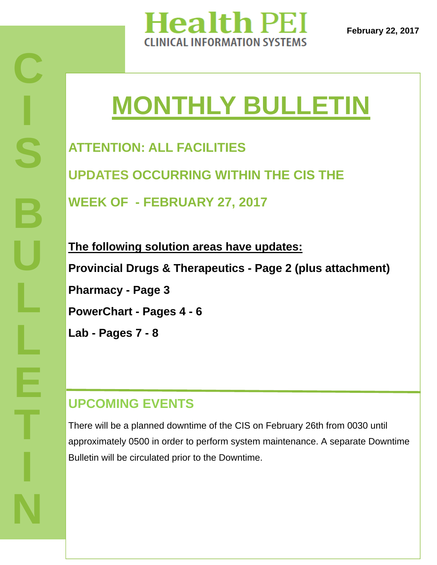

**February 22, 2017** 

# **MONTHLY BULLETIN**

**ATTENTION: ALL FACILITIES UPDATES OCCURRING WITHIN THE CIS THE WEEK OF - FEBRUARY 27, 2017** 

**The following solution areas have updates: Provincial Drugs & Therapeutics - Page 2 (plus attachment) Pharmacy - Page 3 PowerChart - Pages 4 - 6 Lab - Pages 7 - 8** 

### **UPCOMING EVENTS**

There will be a planned downtime of the CIS on February 26th from 0030 until approximately 0500 in order to perform system maintenance. A separate Downtime Bulletin will be circulated prior to the Downtime.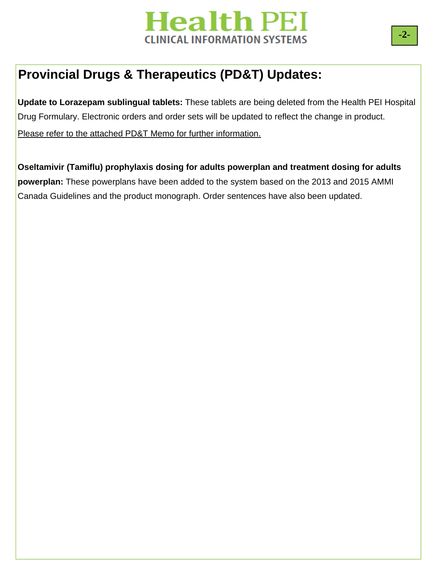

# **Provincial Drugs & Therapeutics (PD&T) Updates:**

**Update to Lorazepam sublingual tablets:** These tablets are being deleted from the Health PEI Hospital Drug Formulary. Electronic orders and order sets will be updated to reflect the change in product.

Please refer to the attached PD&T Memo for further information.

**Oseltamivir (Tamiflu) prophylaxis dosing for adults powerplan and treatment dosing for adults powerplan:** These powerplans have been added to the system based on the 2013 and 2015 AMMI Canada Guidelines and the product monograph. Order sentences have also been updated.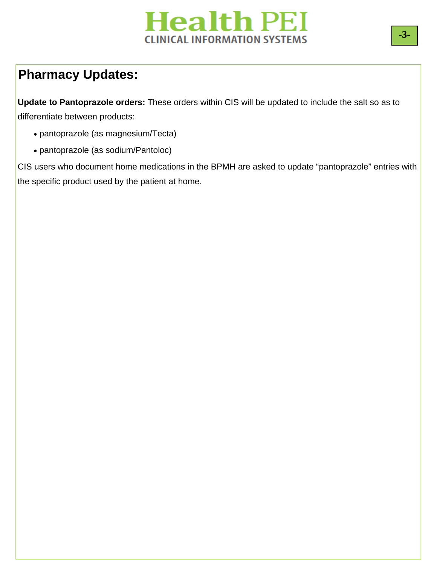# **Pharmacy Updates:**

**Update to Pantoprazole orders:** These orders within CIS will be updated to include the salt so as to differentiate between products:

- pantoprazole (as magnesium/Tecta)
- pantoprazole (as sodium/Pantoloc)

CIS users who document home medications in the BPMH are asked to update "pantoprazole" entries with the specific product used by the patient at home.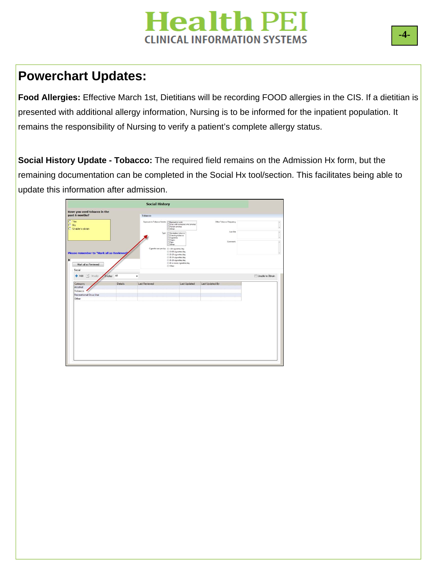### **Powerchart Updates:**

**Food Allergies:** Effective March 1st, Dietitians will be recording FOOD allergies in the CIS. If a dietitian is presented with additional allergy information, Nursing is to be informed for the inpatient population. It remains the responsibility of Nursing to verify a patient's complete allergy status.

**Social History Update - Tobacco:** The required field remains on the Admission Hx form, but the remaining documentation can be completed in the Social Hx tool/section. This facilitates being able to update this information after admission.

|                                                                  |         | <b>Social History</b>                      |                                                                                                   |                         |  |
|------------------------------------------------------------------|---------|--------------------------------------------|---------------------------------------------------------------------------------------------------|-------------------------|--|
| Have you used tobacco in the                                     |         |                                            |                                                                                                   |                         |  |
| past 6 months?                                                   |         | Tobacco                                    |                                                                                                   |                         |  |
| O Yes<br>O No<br>C Unable to obtain                              |         | Exposure to Tobacco Smoke                  | Exposed at work<br>Lives with someone who smokes<br>Patient smokes<br>Other:                      | Other Tobacco Frequency |  |
|                                                                  |         | Type                                       | Smokeless tobacco<br>Chewing tobacco<br>Cigarettes<br>Cigars<br>Pipe                              | Last Use<br>Comment     |  |
| Please remember to "Mark all as Reviewed"                        |         | Cigarette use per day @ <10 cigarettes/day | Other:<br>10-19 cigarettes/day                                                                    |                         |  |
|                                                                  |         |                                            | 20-29 cigarettes/day<br>30-34 cigarettes/day<br>35-39 cigarettes/day<br>40 or more cigarettes/day |                         |  |
| Mark all as Reviewed                                             |         |                                            | C Other:                                                                                          |                         |  |
| Category<br>Alcohol<br>Tobacco<br>Recreational Drug Use<br>Other | Details | <b>Last Reviewed</b>                       | <b>Last Updated</b>                                                                               | Last Updated By         |  |
|                                                                  |         |                                            |                                                                                                   |                         |  |
|                                                                  |         |                                            |                                                                                                   |                         |  |
|                                                                  |         |                                            |                                                                                                   |                         |  |
|                                                                  |         |                                            |                                                                                                   |                         |  |
|                                                                  |         |                                            |                                                                                                   |                         |  |
|                                                                  |         |                                            |                                                                                                   |                         |  |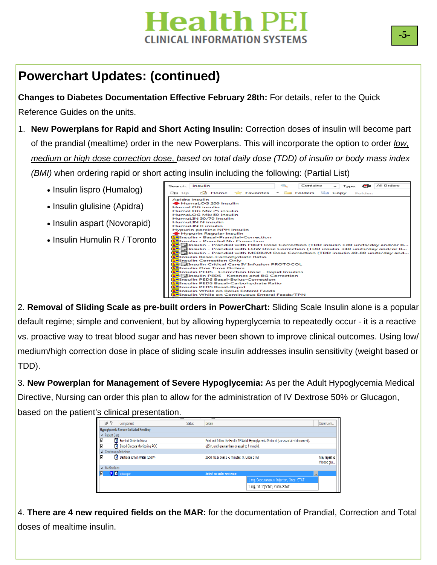# **Powerchart Updates: (continued)**

**Changes to Diabetes Documentation Effective February 28th:** For details, refer to the Quick Reference Guides on the units.

- 1. **New Powerplans for Rapid and Short Acting Insulin:** Correction doses of insulin will become part of the prandial (mealtime) order in the new Powerplans. This will incorporate the option to order *low, medium or high dose correction dose*, *based on total daily dose (TDD) of insulin or body mass index (BMI)* when ordering rapid or short acting insulin including the following: (Partial List)
	- Insulin lispro (Humalog)
	- Insulin glulisine (Apidra)
	- Insulin aspart (Novorapid)
	- Insulin Humulin R / Toronto

| Search: insulin |                          |                                                                   |  | Contains | Type: |         | All Orders                                                                                                  |
|-----------------|--------------------------|-------------------------------------------------------------------|--|----------|-------|---------|-------------------------------------------------------------------------------------------------------------|
| $+1$ Up         |                          | <b>G</b> Home <b>Report Folders</b> Folders <b>Copy</b>           |  |          |       | Folder: |                                                                                                             |
|                 | <b>Apidra insulin</b>    |                                                                   |  |          |       |         |                                                                                                             |
|                 |                          | HumaLOG 200 insulin                                               |  |          |       |         |                                                                                                             |
|                 | <b>HumaLOG</b> insulin   |                                                                   |  |          |       |         |                                                                                                             |
|                 |                          | HumaLOG Mix 25 insulin                                            |  |          |       |         |                                                                                                             |
|                 |                          | HumaLOG Mix 50 insulin                                            |  |          |       |         |                                                                                                             |
|                 |                          | HumuLIN 30/70 insulin                                             |  |          |       |         |                                                                                                             |
|                 | <b>HumuLIN N insulin</b> |                                                                   |  |          |       |         |                                                                                                             |
|                 | <b>HumuLIN R insulin</b> |                                                                   |  |          |       |         |                                                                                                             |
|                 |                          | <b>Hypurin porcine NPH insulin</b>                                |  |          |       |         |                                                                                                             |
|                 |                          | Hypurin Regular insulin<br>Salinsulin - Basal-Prandial-Correction |  |          |       |         |                                                                                                             |
|                 |                          | <b>S</b> Insulin - Prandial No Correction                         |  |          |       |         |                                                                                                             |
|                 |                          |                                                                   |  |          |       |         | $\frac{1}{2}$ Insulin - Prandial with HIGH Dose Correction (TDD insulin >80 units/day and/or B              |
|                 |                          |                                                                   |  |          |       |         | $\frac{1}{2}$ $\frac{1}{2}$ Insulin - Prandial with LOW Dose Correction (TDD insulin <40 units/day and/or B |
|                 |                          |                                                                   |  |          |       |         | an District Open Correction (TDD insulin 40-80 units/day and                                                |
|                 |                          | Solinsulin Basal-Carbohydrate Ratio                               |  |          |       |         |                                                                                                             |
|                 |                          | <b>S</b> Insulin Correction Only                                  |  |          |       |         |                                                                                                             |
|                 |                          | <b>Sel Falnsulin Critical Care IV Infusion PROTOCOL</b>           |  |          |       |         |                                                                                                             |
|                 |                          | <b>Salinsulin One Time Orders</b>                                 |  |          |       |         |                                                                                                             |
|                 |                          | Solnsulin PEDS - Correction Dose - Rapid Insulins                 |  |          |       |         |                                                                                                             |
|                 |                          | <b>SPI</b> dInsulin PEDS - Ketones and BG Correction              |  |          |       |         |                                                                                                             |
|                 |                          | <b>Selinsulin PEDS Basal-Bolus-Correction</b>                     |  |          |       |         |                                                                                                             |
|                 |                          | <b>S</b> Insulin PEDS Basal-Carbohydrate Ratio                    |  |          |       |         |                                                                                                             |
|                 |                          | Solinsulin PEDS Basal-Rapid                                       |  |          |       |         |                                                                                                             |
|                 |                          | <b>SPInsulin While on Bolus Enteral Feeds</b>                     |  |          |       |         |                                                                                                             |
|                 |                          | Elinsulin While on Continuous Enteral Feeds/TPN                   |  |          |       |         |                                                                                                             |

2. **Removal of Sliding Scale as pre-built orders in PowerChart:** Sliding Scale Insulin alone is a popular default regime; simple and convenient, but by allowing hyperglycemia to repeatedly occur - it is a reactive vs. proactive way to treat blood sugar and has never been shown to improve clinical outcomes. Using low/ medium/high correction dose in place of sliding scale insulin addresses insulin sensitivity (weight based or TDD).

3. **New Powerplan for Management of Severe Hypoglycemia:** As per the Adult Hypoglycemia Medical Directive, Nursing can order this plan to allow for the administration of IV Dextrose 50% or Glucagon, based on the patient's clinical presentation.

| 87                     | Component                                      | <b>Status</b> | <b>Details</b>                                |                                                                                        | Order Com                     |
|------------------------|------------------------------------------------|---------------|-----------------------------------------------|----------------------------------------------------------------------------------------|-------------------------------|
|                        | <b>Hypoglycemia Severe (Initiated Pending)</b> |               |                                               |                                                                                        |                               |
| ⊿ Patient Care         |                                                |               |                                               |                                                                                        |                               |
| V                      | <b>Freetext Order to Nurse</b>                 |               |                                               | Print and follow the Health PEI Adult Hypoglycemia Protocol (see associated document). |                               |
| ⊽                      | <b>Blood Glucose Monitoring POC</b>            |               | a15m, until greater than or equal to 4 mmol/L |                                                                                        |                               |
| 4 Continuous Infusions |                                                |               |                                               |                                                                                        |                               |
| ⊽<br>17                | Dextrose 50% in Water (D50W)                   |               | 20-50 mL IV over 1 -3 minutes, IV, Once, STAT |                                                                                        | May repeat x1<br>if blood glu |
| △ Medications          |                                                |               |                                               |                                                                                        |                               |
| Ø                      | X 2 qlucagon                                   |               | Select an order sentence                      |                                                                                        | $\cdots$                      |
|                        |                                                |               |                                               | 1 mg, Subcutaneous, Injection, Once, STAT                                              |                               |
|                        |                                                |               |                                               | 1 mg, IM, Injection, Once, STAT                                                        |                               |
|                        |                                                |               |                                               |                                                                                        |                               |

doses of mealtime insulin. 4. **There are 4 new required fields on the MAR:** for the documentation of Prandial, Correction and Total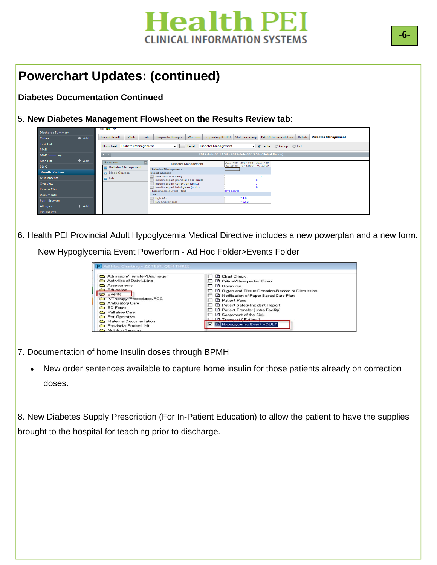### **Powerchart Updates: (continued)**

**Diabetes Documentation Continued** 

5. **New Diabetes Management Flowsheet on the Results Review tab**:

| <b>Discharge Summary</b> |         | <b>NEW YORK IN 1999</b>        |        |     |                                                                        |                            |                                                        |                               |               |                           |       |                            |
|--------------------------|---------|--------------------------------|--------|-----|------------------------------------------------------------------------|----------------------------|--------------------------------------------------------|-------------------------------|---------------|---------------------------|-------|----------------------------|
| Orders                   | $+$ Add | <b>Recent Results</b>          | Vitals | Lab | Diagnostic Imaging                                                     |                            | Warfarin Respiratory/COPD                              |                               | Shift Summary | <b>PACU Documentation</b> | Rehab | <b>Diabetes Management</b> |
| <b>Task List</b>         |         | Flowsheet: Diabetes Management |        |     |                                                                        | Level:                     | Diabetes Management                                    |                               |               | De Table 6 Group 6 List   |       |                            |
| <b>MAR</b>               |         |                                |        |     | $\mathbf{v}$ and                                                       |                            |                                                        |                               |               |                           |       |                            |
| <b>MAR Summary</b>       |         | $\rightarrow$                  |        |     |                                                                        |                            | 2017-Feb-06 13:54 - 2017-Feb-08 13:54 (Clinical Range) |                               |               |                           |       |                            |
| <b>Med List</b>          | $H$ Add | <b>Navigator</b>               |        |     |                                                                        |                            |                                                        | 2017-Feb- 2017-Feb- 2017-Feb- |               |                           |       |                            |
| 18:0                     |         | Diabetes Management            |        |     |                                                                        | <b>Diabetes Management</b> |                                                        | 07 13:48 07 13:30 07 12:00    |               |                           |       |                            |
| <b>Results Review</b>    |         | <b>Blood Glucose</b>           |        |     | <b>Diabetes Management</b><br><b>Blood Glucose</b>                     |                            |                                                        |                               |               |                           |       |                            |
| <b>Assessments</b>       |         | $\boxed{7}$ Lab                |        |     | <b>MAR Glucose Verify</b><br>insulin aspart prandial dose (units       |                            |                                                        |                               | 10.5          |                           |       |                            |
| Overview                 |         |                                |        |     | insulin aspart correction (units)                                      |                            |                                                        |                               |               |                           |       |                            |
| <b>Review Chart</b>      |         |                                |        |     | insulin aspart total given (units)<br><b>Hypoglycemic Event - text</b> |                            |                                                        | Hypoglyce                     | ۰             |                           |       |                            |
| <b>Documents</b>         |         |                                |        | Lab |                                                                        |                            |                                                        |                               |               |                           |       |                            |
| <b>Form Browser</b>      |         |                                |        |     | Hgb A1c<br><b>LDL Cholesterol</b>                                      |                            |                                                        | $*4.0$<br>$*8.62$             |               |                           |       |                            |
| <b>Allergies</b>         | $+$ Add |                                |        |     |                                                                        |                            |                                                        |                               |               |                           |       |                            |
| Patient Info             |         |                                |        |     |                                                                        |                            |                                                        |                               |               |                           |       |                            |

6. 6. Health PEI Provincial Adult Hypoglycemia Medical Directive includes a new powerplan and a new form.

New Hypoglycemia Event Powerform - Ad Hoc Folder>Events Folder

| 19 Ad Hoc Charting - ZZ TEST, QEH THREE<br>Admission/Transfer/Discharge                                                                                                                                                                                                      | $\Box$ <b>El</b> Charl Check                                                                                                                                                                                                                                                                                                                                                         |
|------------------------------------------------------------------------------------------------------------------------------------------------------------------------------------------------------------------------------------------------------------------------------|--------------------------------------------------------------------------------------------------------------------------------------------------------------------------------------------------------------------------------------------------------------------------------------------------------------------------------------------------------------------------------------|
| Activities of Daily Living<br>Assessments<br>Fducation<br>$\triangleright$ Events<br>NTherapy/Procedures/POC<br>Ambulatory Care<br><b>C</b> ED Forms<br>Palliative Care<br><b>C</b> Peri-Operative<br>Maternal Documentation<br>Provincial Stroke Unit<br>Nutrition Services | □ B Critical/Unexpected Event<br>$\Box$ <b>B</b> Downtime<br>□ □ Organ and Tissue Donation-Record of Discussion<br>□ B Notification of Paper Based Care Plan<br><b>F Patient Pass</b><br>□ B Patient Safety Incident Report<br>□ B Patient Transfer [ Intra Facility]<br>$\Box$ <b>B</b> Sacrament of the Sick<br><b>El Transport (Patient)</b><br><b>B</b> Hypoglycemic Event ADULT |

- 7. Documentation of home Insulin doses through BPMH
	- New order sentences available to capture home insulin for those patients already on correction doses.

8. New Diabetes Supply Prescription (For In-Patient Education) to allow the patient to have the supplies brought to the hospital for teaching prior to discharge.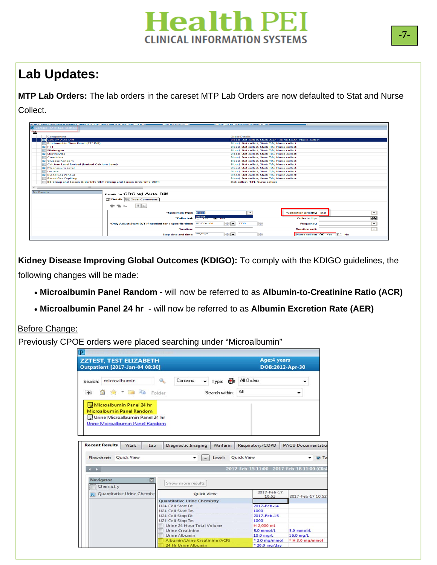### **Lab Updates:**

**MTP Lab Orders:** The lab orders in the careset MTP Lab Orders are now defaulted to Stat and Nurse Collect.

| <u>E MARCEL DE MARCEL EN 1989, EN 1989, MARCEL E MARCEL EL ESTADO DE LA PORTA DE MARCEL EN 1989, EL ESTADO DE MARCEL E</u> | <b>INTERNATIONAL PROPERTY</b>                                     | <b>A TENNIS EN PERSONAL DE L'ANGELIA DE L'ANGELIA DE L'ANGELIA DE L'ANGELIA DE L'ANGELIA DE L'ANGELIA DE L'ANGELI</b> |                                      |
|----------------------------------------------------------------------------------------------------------------------------|-------------------------------------------------------------------|-----------------------------------------------------------------------------------------------------------------------|--------------------------------------|
| areset - MTP Lab Reche                                                                                                     |                                                                   |                                                                                                                       |                                      |
| $\triangle$                                                                                                                |                                                                   |                                                                                                                       |                                      |
| Component                                                                                                                  |                                                                   | <b>Order Details</b>                                                                                                  |                                      |
| <b>Z</b> CBC w/ Auto Diff                                                                                                  |                                                                   | Blood, Stat collect, Start: 2017-Feb-06 13:30 , Nurse collect                                                         |                                      |
| <b>Prothrombin Time Panel (PT/ INR)</b>                                                                                    |                                                                   | Blood, Stat collect, Start: T:N. Nurse collect                                                                        |                                      |
| <b>ET PTT</b>                                                                                                              |                                                                   | Blood, Stat collect, Start: T:N. Nurse collect                                                                        |                                      |
| <b>El Fibrinogen</b>                                                                                                       |                                                                   | Blood, Stat collect, Start: T;N, Nurse collect                                                                        |                                      |
| <b>Electrolytes</b>                                                                                                        |                                                                   | Blood, Stat collect, Start: T;N, Nurse collect                                                                        |                                      |
| <b>Creatinine</b>                                                                                                          |                                                                   | Blood, Stat collect, Start: T;N, Nurse collect                                                                        |                                      |
| <b>El Glucose Random</b>                                                                                                   |                                                                   | Blood, Stat collect, Start: T;N, Nurse collect                                                                        |                                      |
| Calcium Level Ionized (Ionized Calcium Level)                                                                              |                                                                   | Blood, Stat collect, Start: T;N, Nurse collect                                                                        |                                      |
| Magnesium Level<br><b>Ed Lactate</b>                                                                                       |                                                                   | Blood, Stat collect, Start: T;N, Nurse collect<br>Blood, Stat collect, Start: T;N, Nurse collect                      |                                      |
| <b>Blood Gas Venous</b>                                                                                                    |                                                                   | Blood, Stat collect, Start: T:N, Nurse collect                                                                        |                                      |
| <b>Blood Gas Capillary</b>                                                                                                 |                                                                   | Blood, Stat collect, Start: T:N, Nurse collect                                                                        |                                      |
| BB Group and Screen Order Info QEH (Group and Screen Order Info QEH)                                                       |                                                                   | Stat collect, T:N, Nurse collect                                                                                      |                                      |
|                                                                                                                            |                                                                   |                                                                                                                       |                                      |
| $\left  \cdot \right $<br>$111 -$                                                                                          |                                                                   |                                                                                                                       |                                      |
| No Results                                                                                                                 | Details for CBC w/ Auto Diff                                      |                                                                                                                       |                                      |
|                                                                                                                            |                                                                   |                                                                                                                       |                                      |
|                                                                                                                            | Details   DE Order Comments                                       |                                                                                                                       |                                      |
| も liu<br>÷                                                                                                                 | $   \cdot    \times$                                              |                                                                                                                       |                                      |
|                                                                                                                            | *Specimen type: Blood                                             | $\checkmark$                                                                                                          | *Collection priority: Stat<br>$\sim$ |
|                                                                                                                            | "Collected: Blood                                                 |                                                                                                                       | 44<br>Collected by:                  |
|                                                                                                                            | *Only Adjust Start D/T if needed for a specific time: 2017-Feb-06 | ÷<br>$\left\vert \frac{1}{2} \right\vert$ $\left\vert \frac{1}{2} \right\vert$<br>1330                                | $\sim$<br>Frequency:                 |
|                                                                                                                            | <b>Duration:</b>                                                  |                                                                                                                       | <b>Duration unit:</b><br>$\sim$ 1    |
|                                                                                                                            | مرميزمين<br>Stop date and time:                                   | ÷<br>$\left\  \div \right\ $ $\left\  \div \right\ $                                                                  | Nurse collect: C Yes C No            |
|                                                                                                                            |                                                                   |                                                                                                                       |                                      |

**Kidney Disease Improving Global Outcomes (KDIGO):** To comply with the KDIGO guidelines, the

following changes will be made:

- **Microalbumin Panel Random**  will now be referred to as **Albumin-to-Creatinine Ratio (ACR)**
- **Microalbumin Panel 24 hr**  will now be referred to as **Albumin Excretion Rate (AER)**

#### Before Change:

Previously CPOE orders were placed searching under "Microalbumin"

|                             |                        | <b>ZZTEST, TEST ELIZABETH</b><br><b>Outpatient [2017-Jan-04 08:30]</b> |     |                                                              |                |                            | Age: 4 years<br>DOB:2012-Apr-30  |                                                            |
|-----------------------------|------------------------|------------------------------------------------------------------------|-----|--------------------------------------------------------------|----------------|----------------------------|----------------------------------|------------------------------------------------------------|
|                             | Search: microalbumin   |                                                                        |     | Contains                                                     | Ð<br>Type:     | All Orders                 |                                  |                                                            |
| $\uparrow$                  | 52                     | $\sim$ $\Box$ $\Box$ Folder:                                           |     |                                                              | Search within: | Αll                        |                                  |                                                            |
|                             | <b>Recent Results</b>  | Urine Microalbumin Panel Random<br>Vitals                              | Lab | Diagnostic Imaging                                           | Warfarin       | Respiratory/COPD           |                                  | <b>PACU Documentatio</b>                                   |
| Flowsheet:<br>$\rightarrow$ |                        | <b>Ouick View</b>                                                      |     | ▼<br>$\cdots$                                                | Level:         | <b>Ouick View</b>          |                                  | $\odot$ Ta<br>2017-Feb-15 11:00 - 2017-Feb-18 11:00 (Clini |
|                             | Navigator<br>Chemistry |                                                                        |     | Show more results                                            |                |                            |                                  |                                                            |
|                             |                        | Quantitative Urine Chemist                                             |     | <b>Ouick View</b>                                            |                |                            | 2017-Feb-17<br>10:53             | 2017-Feb-17 10:52                                          |
|                             |                        |                                                                        |     | <b>Quantitative Urine Chemistry</b><br>U24 Coll Start Dt     |                |                            | 2017-Feb-14                      |                                                            |
|                             |                        |                                                                        |     | U24 Coll Start Tm                                            |                | 1000                       |                                  |                                                            |
|                             |                        |                                                                        |     | U24 Coll Stop Dt<br>U24 Coll Stop Tm                         |                | 1000                       | 2017-Feb-15                      |                                                            |
|                             |                        |                                                                        |     |                                                              |                |                            |                                  |                                                            |
|                             |                        |                                                                        |     |                                                              |                |                            |                                  |                                                            |
|                             |                        |                                                                        |     | Urine 24 Hour Total Volume<br>Urine Creatinine               |                | H 2,000 mL<br>$5.0$ mmol/L |                                  | $5.0$ mmol/L                                               |
|                             |                        |                                                                        |     | Urine Albumin                                                |                | 10.0 mg/L                  |                                  | 15.0 mg/L                                                  |
|                             |                        |                                                                        |     | <b>Albumin/Urine Creatinine (ACR)</b><br>24 Hr Urine Albumin |                |                            | $*$ 2.0 mg/mmol<br>* 20.0 mg/day | * H 3.0 mg/mmol                                            |